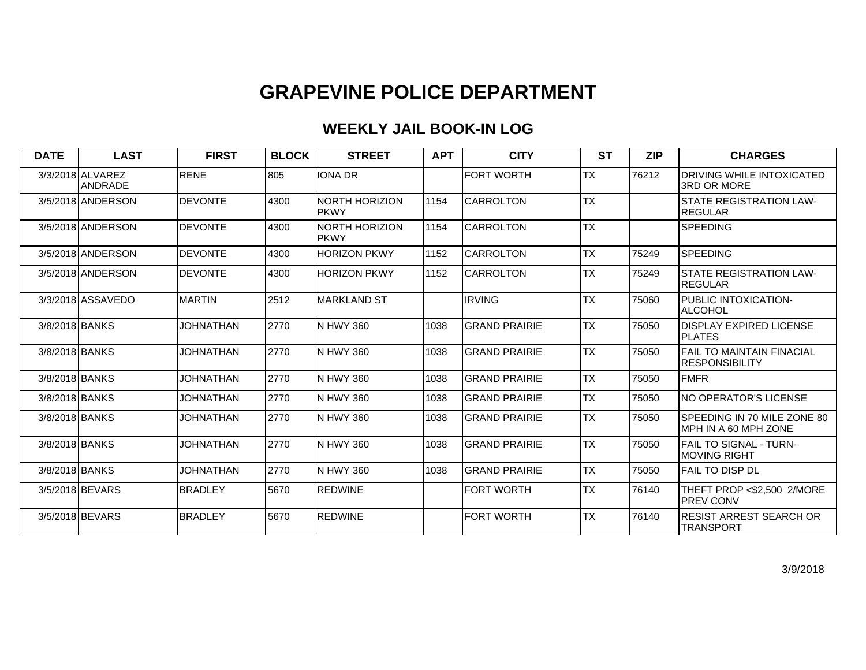| <b>DATE</b>    | <b>LAST</b>                        | <b>FIRST</b>     | <b>BLOCK</b> | <b>STREET</b>                  | <b>APT</b> | <b>CITY</b>          | <b>ST</b>       | <b>ZIP</b> | <b>CHARGES</b>                                             |
|----------------|------------------------------------|------------------|--------------|--------------------------------|------------|----------------------|-----------------|------------|------------------------------------------------------------|
|                | 3/3/2018 ALVAREZ<br><b>ANDRADE</b> | <b>RENE</b>      | 805          | <b>IONA DR</b>                 |            | <b>FORT WORTH</b>    | <b>TX</b>       | 76212      | DRIVING WHILE INTOXICATED<br>3RD OR MORE                   |
|                | 3/5/2018 ANDERSON                  | <b>DEVONTE</b>   | 4300         | NORTH HORIZION<br><b>IPKWY</b> | 1154       | ICARROLTON           | <b>TX</b>       |            | STATE REGISTRATION LAW-<br>REGULAR                         |
|                | 3/5/2018 ANDERSON                  | <b>DEVONTE</b>   | 4300         | NORTH HORIZION<br><b>IPKWY</b> | 1154       | ICARROLTON           | <b>TX</b>       |            | <b>SPEEDING</b>                                            |
|                | 3/5/2018 ANDERSON                  | <b>DEVONTE</b>   | 4300         | <b>HORIZON PKWY</b>            | 1152       | <b>CARROLTON</b>     | <b>TX</b>       | 75249      | <b>SPEEDING</b>                                            |
|                | 3/5/2018 ANDERSON                  | <b>DEVONTE</b>   | 4300         | <b>HORIZON PKWY</b>            | 1152       | <b>CARROLTON</b>     | <b>TX</b>       | 75249      | <b>STATE REGISTRATION LAW-</b><br><b>REGULAR</b>           |
|                | 3/3/2018 ASSAVEDO                  | <b>MARTIN</b>    | 2512         | <b>MARKLAND ST</b>             |            | <b>IRVING</b>        | $\overline{TX}$ | 75060      | PUBLIC INTOXICATION-<br>ALCOHOL                            |
| 3/8/2018 BANKS |                                    | <b>JOHNATHAN</b> | 2770         | N HWY 360                      | 1038       | IGRAND PRAIRIE       | <b>TX</b>       | 75050      | <b>DISPLAY EXPIRED LICENSE</b><br><b>IPLATES</b>           |
| 3/8/2018 BANKS |                                    | <b>JOHNATHAN</b> | 2770         | N HWY 360                      | 1038       | <b>GRAND PRAIRIE</b> | <b>TX</b>       | 75050      | <b>FAIL TO MAINTAIN FINACIAL</b><br><b>IRESPONSIBILITY</b> |
| 3/8/2018 BANKS |                                    | <b>JOHNATHAN</b> | 2770         | IN HWY 360                     | 1038       | IGRAND PRAIRIE       | <b>TX</b>       | 75050      | <b>FMFR</b>                                                |
| 3/8/2018 BANKS |                                    | <b>JOHNATHAN</b> | 2770         | IN HWY 360                     | 1038       | IGRAND PRAIRIE       | <b>TX</b>       | 75050      | INO OPERATOR'S LICENSE                                     |
| 3/8/2018 BANKS |                                    | JOHNATHAN        | 2770         | IN HWY 360                     | 1038       | IGRAND PRAIRIE       | <b>TX</b>       | 75050      | SPEEDING IN 70 MILE ZONE 80<br>IMPH IN A 60 MPH ZONE       |
| 3/8/2018 BANKS |                                    | JOHNATHAN        | 2770         | IN HWY 360                     | 1038       | IGRAND PRAIRIE       | <b>TX</b>       | 75050      | FAIL TO SIGNAL - TURN-<br>IMOVING RIGHT                    |
| 3/8/2018 BANKS |                                    | <b>JOHNATHAN</b> | 2770         | IN HWY 360                     | 1038       | IGRAND PRAIRIE       | <b>TX</b>       | 75050      | <b>FAIL TO DISP DL</b>                                     |
|                | 3/5/2018 BEVARS                    | <b>BRADLEY</b>   | 5670         | <b>REDWINE</b>                 |            | <b>FORT WORTH</b>    | <b>TX</b>       | 76140      | THEFT PROP <\$2,500 2/MORE<br><b>IPREV CONV</b>            |
|                | 3/5/2018 BEVARS                    | <b>BRADLEY</b>   | 5670         | REDWINE                        |            | <b>FORT WORTH</b>    | <b>TX</b>       | 76140      | RESIST ARREST SEARCH OR<br><b>TRANSPORT</b>                |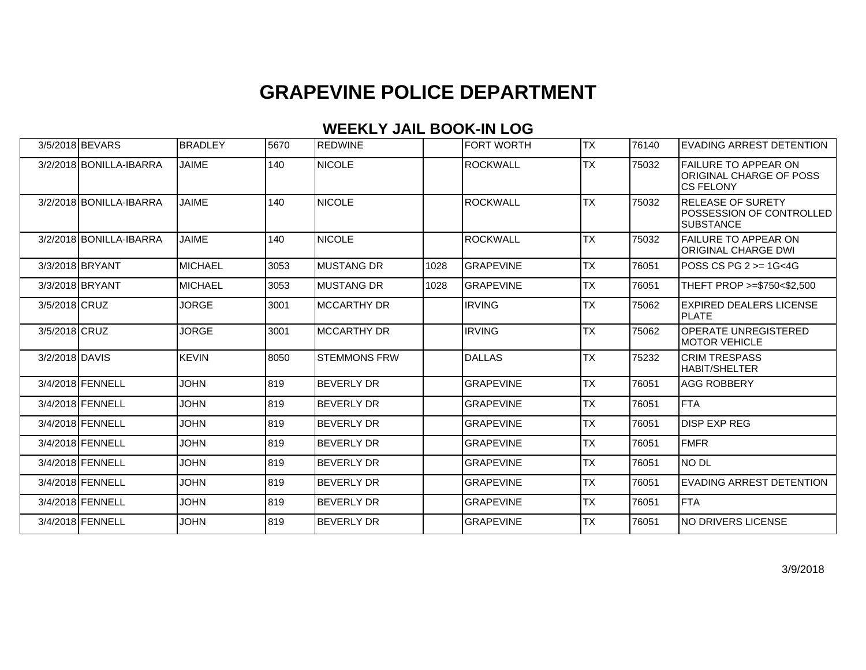|                | 3/5/2018 BEVARS         | BRADLEY        | 5670  | REDWINE             |      | FORT WORTH       | ITX       | 76140 | IEVADING ARREST DETENTION                                                  |
|----------------|-------------------------|----------------|-------|---------------------|------|------------------|-----------|-------|----------------------------------------------------------------------------|
|                | 3/2/2018 BONILLA-IBARRA | <b>JAIME</b>   | 140   | <b>NICOLE</b>       |      | <b>ROCKWALL</b>  | <b>TX</b> | 75032 | <b>FAILURE TO APPEAR ON</b><br>ORIGINAL CHARGE OF POSS<br><b>CS FELONY</b> |
|                | 3/2/2018 BONILLA-IBARRA | <b>JAIME</b>   | 140   | <b>NICOLE</b>       |      | <b>ROCKWALL</b>  | <b>TX</b> | 75032 | <b>RELEASE OF SURETY</b><br>POSSESSION OF CONTROLLED<br><b>SUBSTANCE</b>   |
|                | 3/2/2018 BONILLA-IBARRA | <b>JAIME</b>   | 140   | <b>NICOLE</b>       |      | <b>ROCKWALL</b>  | <b>TX</b> | 75032 | <b>FAILURE TO APPEAR ON</b><br>ORIGINAL CHARGE DWI                         |
|                | 3/3/2018 BRYANT         | <b>MICHAEL</b> | 3053  | IMUSTANG DR         | 1028 | <b>GRAPEVINE</b> | ITX       | 76051 | IPOSS CS PG 2 >= 1G<4G                                                     |
|                | 3/3/2018 BRYANT         | <b>MICHAEL</b> | 3053  | <b>IMUSTANG DR</b>  | 1028 | <b>GRAPEVINE</b> | <b>TX</b> | 76051 | THEFT PROP >=\$750<\$2.500                                                 |
| 3/5/2018 CRUZ  |                         | <b>JORGE</b>   | 3001  | <b>IMCCARTHY DR</b> |      | <b>IRVING</b>    | TX        | 75062 | <b>EXPIRED DEALERS LICENSE</b><br><b>IPLATE</b>                            |
| 3/5/2018 CRUZ  |                         | <b>JORGE</b>   | 3001  | IMCCARTHY DR        |      | <b>IRVING</b>    | <b>TX</b> | 75062 | <b>OPERATE UNREGISTERED</b><br>IMOTOR VEHICLE                              |
| 3/2/2018 DAVIS |                         | <b>KEVIN</b>   | 8050  | ISTEMMONS FRW       |      | DALLAS           | <b>TX</b> | 75232 | <b>CRIM TRESPASS</b><br><b>I</b> HABIT/SHELTER                             |
|                | 3/4/2018 FENNELL        | <b>JOHN</b>    | 819   | <b>BEVERLY DR</b>   |      | <b>GRAPEVINE</b> | <b>TX</b> | 76051 | <b>AGG ROBBERY</b>                                                         |
|                | 3/4/2018 FENNELL        | <b>JOHN</b>    | 1819. | <b>BEVERLY DR</b>   |      | <b>GRAPEVINE</b> | ITX       | 76051 | <b>FTA</b>                                                                 |
|                | 3/4/2018 FENNELL        | <b>JOHN</b>    | 819   | <b>BEVERLY DR</b>   |      | <b>GRAPEVINE</b> | <b>TX</b> | 76051 | <b>DISP EXP REG</b>                                                        |
|                | 3/4/2018 FENNELL        | <b>JOHN</b>    | 819   | <b>BEVERLY DR</b>   |      | <b>GRAPEVINE</b> | <b>TX</b> | 76051 | <b>FMFR</b>                                                                |
|                | 3/4/2018 FENNELL        | <b>JOHN</b>    | 1819  | <b>BEVERLY DR</b>   |      | <b>GRAPEVINE</b> | ITX       | 76051 | NO DL                                                                      |
|                | 3/4/2018 FENNELL        | <b>JOHN</b>    | 819   | <b>BEVERLY DR</b>   |      | <b>GRAPEVINE</b> | <b>TX</b> | 76051 | EVADING ARREST DETENTION                                                   |
|                | 3/4/2018 FENNELL        | <b>JOHN</b>    | 819   | IBEVERLY DR         |      | IGRAPEVINE       | TX        | 76051 | <b>FTA</b>                                                                 |
|                | 3/4/2018 FENNELL        | <b>JOHN</b>    | 819   | <b>BEVERLY DR</b>   |      | <b>GRAPEVINE</b> | <b>TX</b> | 76051 | INO DRIVERS LICENSE                                                        |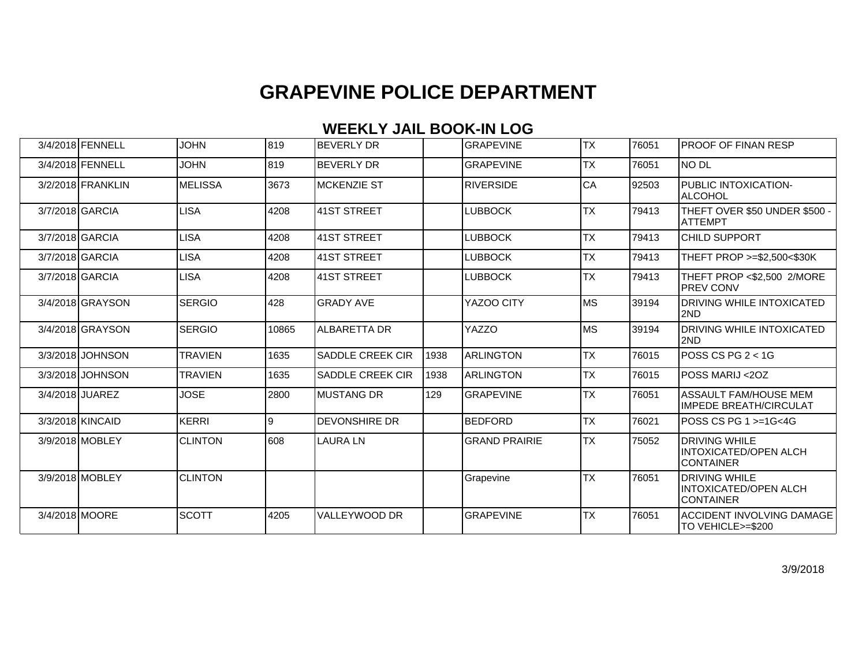| 3/4/2018 FENNELL  | <b>JOHN</b>    | 819   | <b>BEVERLY DR</b>       |      | <b>GRAPEVINE</b>     | <b>TX</b> | 76051 | IPROOF OF FINAN RESP                                                     |
|-------------------|----------------|-------|-------------------------|------|----------------------|-----------|-------|--------------------------------------------------------------------------|
| 3/4/2018 FENNELL  | <b>JOHN</b>    | 819   | <b>BEVERLY DR</b>       |      | <b>GRAPEVINE</b>     | <b>TX</b> | 76051 | NO DL                                                                    |
| 3/2/2018 FRANKLIN | MELISSA        | 3673  | <b>IMCKENZIE ST</b>     |      | <b>RIVERSIDE</b>     | CA        | 92503 | PUBLIC INTOXICATION-<br>ALCOHOL                                          |
| 3/7/2018 GARCIA   | <b>LISA</b>    | 4208  | 41ST STREET             |      | LUBBOCK              | <b>TX</b> | 79413 | THEFT OVER \$50 UNDER \$500 -<br>IATTEMPT                                |
| 3/7/2018 GARCIA   | LISA           | 4208  | 41ST STREET             |      | LUBBOCK              | <b>TX</b> | 79413 | CHILD SUPPORT                                                            |
| 3/7/2018 GARCIA   | <b>LISA</b>    | 4208  | 41ST STREET             |      | LUBBOCK              | <b>TX</b> | 79413 | THEFT PROP >=\$2,500<\$30K                                               |
| 3/7/2018 GARCIA   | <b>LISA</b>    | 4208  | 41ST STREET             |      | LUBBOCK              | <b>TX</b> | 79413 | THEFT PROP <\$2,500 2/MORE<br><b>PREV CONV</b>                           |
| 3/4/2018 GRAYSON  | <b>SERGIO</b>  | 428   | <b>GRADY AVE</b>        |      | YAZOO CITY           | MS        | 39194 | <b>DRIVING WHILE INTOXICATED</b><br>2ND                                  |
| 3/4/2018 GRAYSON  | <b>SERGIO</b>  | 10865 | ALBARETTA DR            |      | YAZZO                | lмs       | 39194 | <b>DRIVING WHILE INTOXICATED</b><br>2ND                                  |
| 3/3/2018 JOHNSON  | <b>TRAVIEN</b> | 1635  | <b>SADDLE CREEK CIR</b> | 1938 | <b>ARLINGTON</b>     | ITX       | 76015 | $POSCSPS$ $-1G$                                                          |
| 3/3/2018 JOHNSON  | <b>TRAVIEN</b> | 1635  | <b>SADDLE CREEK CIR</b> | 1938 | ARLINGTON            | <b>TX</b> | 76015 | POSS MARIJ <2OZ                                                          |
| 3/4/2018 JUAREZ   | <b>JOSE</b>    | 2800  | IMUSTANG DR             | 129  | <b>GRAPEVINE</b>     | <b>TX</b> | 76051 | ASSAULT FAM/HOUSE MEM<br>IMPEDE BREATH/CIRCULAT                          |
| 3/3/2018 KINCAID  | <b>KERRI</b>   | 9     | <b>DEVONSHIRE DR</b>    |      | BEDFORD              | <b>TX</b> | 76021 | lPOSS CS PG 1 >=1G<4G                                                    |
| 3/9/2018 MOBLEY   | <b>CLINTON</b> | l608  | LAURA LN                |      | <b>GRAND PRAIRIE</b> | <b>TX</b> | 75052 | <b>DRIVING WHILE</b><br><b>INTOXICATED/OPEN ALCH</b><br><b>CONTAINER</b> |
| 3/9/2018 MOBLEY   | <b>CLINTON</b> |       |                         |      | Grapevine            | <b>TX</b> | 76051 | <b>DRIVING WHILE</b><br>INTOXICATED/OPEN ALCH<br><b>CONTAINER</b>        |
| 3/4/2018 MOORE    | <b>SCOTT</b>   | 4205  | VALLEYWOOD DR           |      | <b>GRAPEVINE</b>     | <b>TX</b> | 76051 | <b>ACCIDENT INVOLVING DAMAGE</b><br>TO VEHICLE>=\$200                    |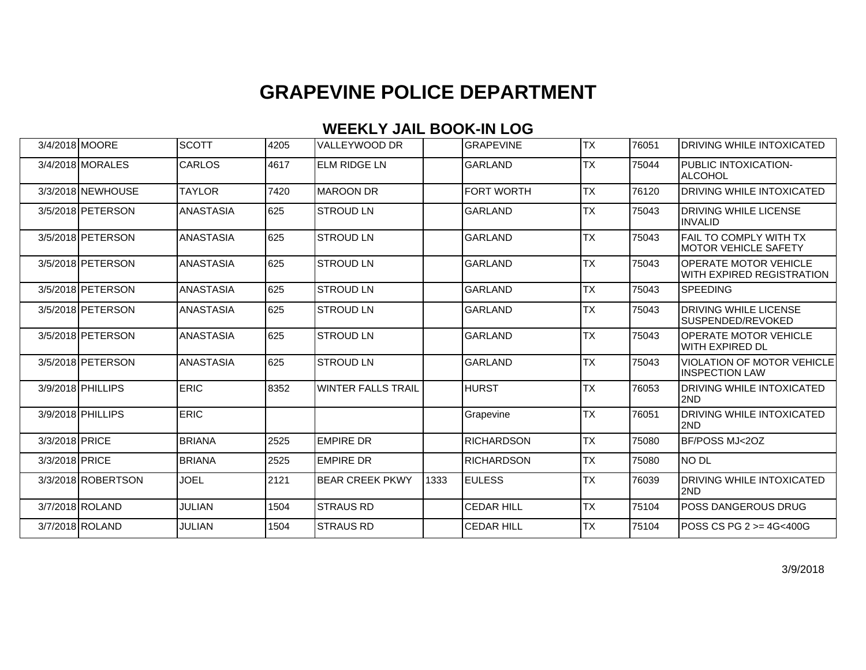### **WEEKLY JAIL BOOK-IN LOG**

|                | 3/4/2018 MOORE           | <b>SCOTT</b>     | 4205 | VALLEYWOOD DR          |      | <b>GRAPEVINE</b>  | <b>TX</b> | 76051 | <b>DRIVING WHILE INTOXICATED</b>                           |
|----------------|--------------------------|------------------|------|------------------------|------|-------------------|-----------|-------|------------------------------------------------------------|
|                | 3/4/2018 MORALES         | CARLOS           | 4617 | <b>ELM RIDGE LN</b>    |      | <b>GARLAND</b>    | <b>TX</b> | 75044 | PUBLIC INTOXICATION-<br><b>ALCOHOL</b>                     |
|                | 3/3/2018 NEWHOUSE        | <b>TAYLOR</b>    | 7420 | MAROON DR              |      | <b>FORT WORTH</b> | <b>TX</b> | 76120 | <b>DRIVING WHILE INTOXICATED</b>                           |
|                | 3/5/2018 PETERSON        | <b>ANASTASIA</b> | 625  | <b>STROUD LN</b>       |      | <b>GARLAND</b>    | <b>TX</b> | 75043 | DRIVING WHILE LICENSE<br><b>INVALID</b>                    |
|                | 3/5/2018 PETERSON        | <b>ANASTASIA</b> | 625  | <b>STROUD LN</b>       |      | <b>GARLAND</b>    | <b>TX</b> | 75043 | <b>FAIL TO COMPLY WITH TX</b><br>IMOTOR VEHICLE SAFETY     |
|                | 3/5/2018 PETERSON        | <b>ANASTASIA</b> | 625  | ISTROUD LN             |      | <b>GARLAND</b>    | <b>TX</b> | 75043 | <b>OPERATE MOTOR VEHICLE</b><br>IWITH EXPIRED REGISTRATION |
|                | 3/5/2018 PETERSON        | <b>ANASTASIA</b> | 625  | <b>STROUD LN</b>       |      | <b>GARLAND</b>    | <b>TX</b> | 75043 | <b>SPEEDING</b>                                            |
|                | 3/5/2018 <b>PETERSON</b> | <b>ANASTASIA</b> | 625  | <b>STROUD LN</b>       |      | <b>GARLAND</b>    | <b>TX</b> | 75043 | <b>DRIVING WHILE LICENSE</b><br>ISUSPENDED/REVOKED         |
|                | 3/5/2018 PETERSON        | <b>ANASTASIA</b> | 625  | <b>STROUD LN</b>       |      | <b>GARLAND</b>    | <b>TX</b> | 75043 | <b>OPERATE MOTOR VEHICLE</b><br>WITH EXPIRED DL            |
|                | 3/5/2018 PETERSON        | <b>ANASTASIA</b> | 625  | <b>STROUD LN</b>       |      | <b>GARLAND</b>    | <b>TX</b> | 75043 | <b>VIOLATION OF MOTOR VEHICLE</b><br><b>INSPECTION LAW</b> |
|                | 3/9/2018 PHILLIPS        | <b>ERIC</b>      | 8352 | IWINTER FALLS TRAIL    |      | <b>HURST</b>      | <b>TX</b> | 76053 | IDRIVING WHILE INTOXICATED<br>2ND                          |
|                | 3/9/2018 PHILLIPS        | <b>ERIC</b>      |      |                        |      | Grapevine         | <b>TX</b> | 76051 | <b>DRIVING WHILE INTOXICATED</b><br>l2ND                   |
| 3/3/2018 PRICE |                          | <b>BRIANA</b>    | 2525 | <b>EMPIRE DR</b>       |      | <b>RICHARDSON</b> | <b>TX</b> | 75080 | BF/POSS MJ<2OZ                                             |
| 3/3/2018 PRICE |                          | <b>BRIANA</b>    | 2525 | <b>EMPIRE DR</b>       |      | <b>RICHARDSON</b> | <b>TX</b> | 75080 | Ino dl                                                     |
|                | 3/3/2018 ROBERTSON       | <b>JOEL</b>      | 2121 | <b>BEAR CREEK PKWY</b> | 1333 | <b>EULESS</b>     | <b>TX</b> | 76039 | <b>DRIVING WHILE INTOXICATED</b><br>I2ND                   |
|                | 3/7/2018 ROLAND          | <b>JULIAN</b>    | 1504 | ISTRAUS RD             |      | <b>CEDAR HILL</b> | <b>TX</b> | 75104 | IPOSS DANGEROUS DRUG                                       |
|                | 3/7/2018 ROLAND          | <b>JULIAN</b>    | 1504 | <b>STRAUS RD</b>       |      | <b>CEDAR HILL</b> | <b>TX</b> | 75104 | POSS CS PG 2 >= 4G<400G                                    |

3/9/2018